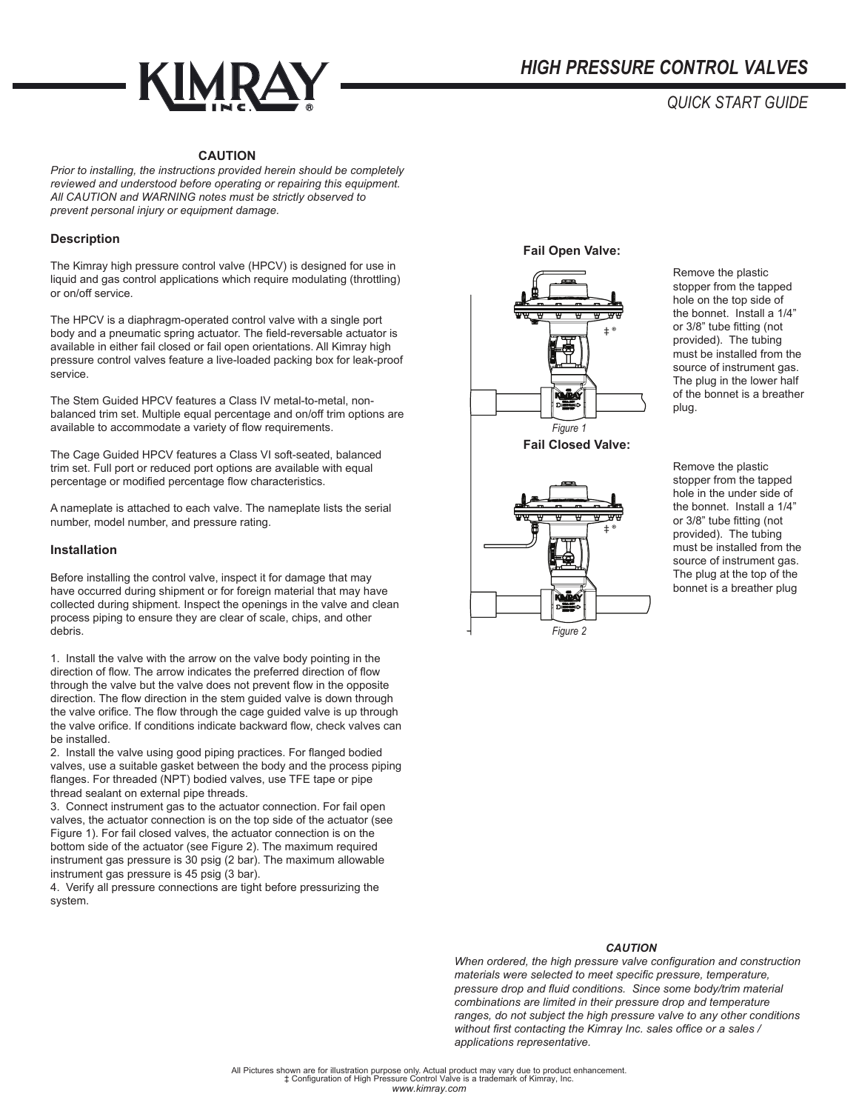

# *QUICK START GUIDE*

## **CAUTION**

*Prior to installing, the instructions provided herein should be completely reviewed and understood before operating or repairing this equipment. All CAUTION and WARNING notes must be strictly observed to prevent personal injury or equipment damage.*

#### **Description**

The Kimray high pressure control valve (HPCV) is designed for use in liquid and gas control applications which require modulating (throttling) or on/off service.

The HPCV is a diaphragm-operated control valve with a single port body and a pneumatic spring actuator. The field-reversable actuator is available in either fail closed or fail open orientations. All Kimray high pressure control valves feature a live-loaded packing box for leak-proof service.

The Stem Guided HPCV features a Class IV metal-to-metal, nonbalanced trim set. Multiple equal percentage and on/off trim options are available to accommodate a variety of flow requirements.

The Cage Guided HPCV features a Class VI soft-seated, balanced trim set. Full port or reduced port options are available with equal percentage or modified percentage flow characteristics.

A nameplate is attached to each valve. The nameplate lists the serial number, model number, and pressure rating.

#### **Installation**

Before installing the control valve, inspect it for damage that may have occurred during shipment or for foreign material that may have collected during shipment. Inspect the openings in the valve and clean process piping to ensure they are clear of scale, chips, and other debris.

1. Install the valve with the arrow on the valve body pointing in the direction of flow. The arrow indicates the preferred direction of flow through the valve but the valve does not prevent flow in the opposite direction. The flow direction in the stem guided valve is down through the valve orifice. The flow through the cage guided valve is up through the valve orifice. If conditions indicate backward flow, check valves can be installed.

2. Install the valve using good piping practices. For flanged bodied valves, use a suitable gasket between the body and the process piping flanges. For threaded (NPT) bodied valves, use TFE tape or pipe thread sealant on external pipe threads.

3. Connect instrument gas to the actuator connection. For fail open valves, the actuator connection is on the top side of the actuator (see Figure 1). For fail closed valves, the actuator connection is on the bottom side of the actuator (see Figure 2). The maximum required instrument gas pressure is 30 psig (2 bar). The maximum allowable instrument gas pressure is 45 psig (3 bar).

4. Verify all pressure connections are tight before pressurizing the system.

**Fail Open Valve:**



‡ ® *Figure 2*

Remove the plastic stopper from the tapped hole on the top side of the bonnet. Install a 1/4" or 3/8" tube fitting (not provided). The tubing must be installed from the source of instrument gas. The plug in the lower half of the bonnet is a breather plug.

Remove the plastic stopper from the tapped hole in the under side of the bonnet. Install a 1/4" or 3/8" tube fitting (not provided). The tubing must be installed from the source of instrument gas. The plug at the top of the bonnet is a breather plug

#### *CAUTION*

*When ordered, the high pressure valve configuration and construction materials were selected to meet specific pressure, temperature, pressure drop and fluid conditions. Since some body/trim material combinations are limited in their pressure drop and temperature ranges, do not subject the high pressure valve to any other conditions without first contacting the Kimray Inc. sales office or a sales / applications representative.*

*www.kimray.com* All Pictures shown are for illustration purpose only. Actual product may vary due to product enhancement. ‡ Configuration of High Pressure Control Valve is a trademark of Kimray, Inc.